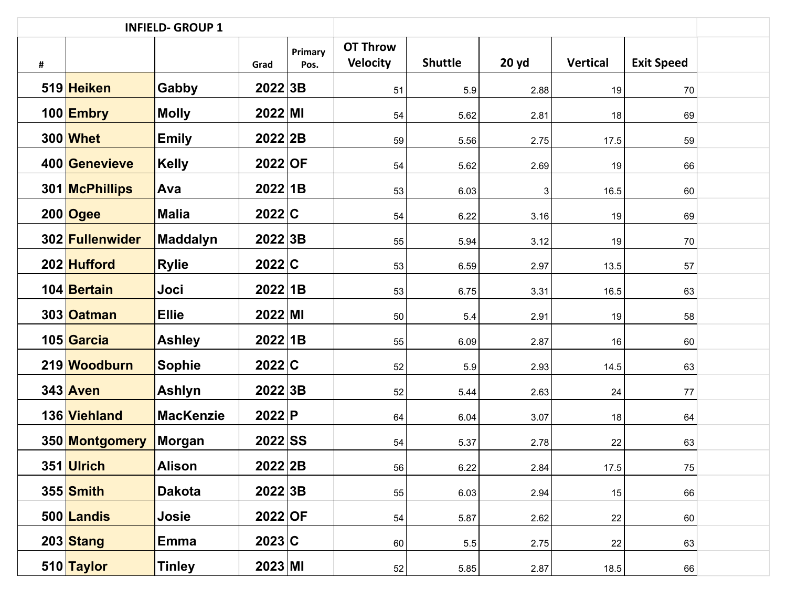|   |                 | <b>INFIELD- GROUP 1</b> |                       |                 |                                    |                |       |                 |                   |  |
|---|-----------------|-------------------------|-----------------------|-----------------|------------------------------------|----------------|-------|-----------------|-------------------|--|
| # |                 |                         | Grad                  | Primary<br>Pos. | <b>OT Throw</b><br><b>Velocity</b> | <b>Shuttle</b> | 20 yd | <b>Vertical</b> | <b>Exit Speed</b> |  |
|   | 519 Heiken      | Gabby                   | 2022 3B               |                 | 51                                 | 5.9            | 2.88  | 19              | 70                |  |
|   | 100 Embry       | <b>Molly</b>            | 2022 M                |                 | 54                                 | 5.62           | 2.81  | 18              | 69                |  |
|   | 300 Whet        | <b>Emily</b>            | 2022 2B               |                 | 59                                 | 5.56           | 2.75  | 17.5            | 59                |  |
|   | 400 Genevieve   | <b>Kelly</b>            | 2022 OF               |                 | 54                                 | 5.62           | 2.69  | 19              | 66                |  |
|   | 301 McPhillips  | Ava                     | 2022 1B               |                 | 53                                 | 6.03           | 3     | 16.5            | 60                |  |
|   | $200$ Ogee      | <b>Malia</b>            | 2022 C                |                 | 54                                 | 6.22           | 3.16  | 19              | 69                |  |
|   | 302 Fullenwider | <b>Maddalyn</b>         | 2022 3B               |                 | 55                                 | 5.94           | 3.12  | 19              | 70                |  |
|   | 202 Hufford     | <b>Rylie</b>            | 2022 C                |                 | 53                                 | 6.59           | 2.97  | 13.5            | 57                |  |
|   | 104 Bertain     | Joci                    | 2022 1B               |                 | 53                                 | 6.75           | 3.31  | 16.5            | 63                |  |
|   | 303 Oatman      | <b>Ellie</b>            | $2022$ MI             |                 | 50                                 | 5.4            | 2.91  | 19              | 58                |  |
|   | 105 Garcia      | <b>Ashley</b>           | 2022 1B               |                 | 55                                 | 6.09           | 2.87  | 16              | 60                |  |
|   | 219 Woodburn    | <b>Sophie</b>           | 2022 C                |                 | 52                                 | 5.9            | 2.93  | 14.5            | 63                |  |
|   | 343 Aven        | Ashlyn                  | 2022 3B               |                 | 52                                 | 5.44           | 2.63  | 24              | 77                |  |
|   | 136 Viehland    | <b>MacKenzie</b>        | 2022 P                |                 | 64                                 | 6.04           | 3.07  | 18              | 64                |  |
|   | 350 Montgomery  | <b>Morgan</b>           | $2022$ SS             |                 | 54                                 | 5.37           | 2.78  | 22              | 63                |  |
|   | 351 Ulrich      | Alison                  | 2022 2B               |                 | 56                                 | 6.22           | 2.84  | 17.5            | 75                |  |
|   | 355 Smith       | <b>Dakota</b>           | 2022 3B               |                 | 55                                 | 6.03           | 2.94  | 15              | 66                |  |
|   | 500 Landis      | Josie                   | $2022$ OF             |                 | 54                                 | 5.87           | 2.62  | 22              | 60                |  |
|   | 203 Stang       | <b>Emma</b>             | 2023 C                |                 | 60                                 | 5.5            | 2.75  | 22              | 63                |  |
|   | 510 Taylor      | <b>Tinley</b>           | $2023 \,   \text{MI}$ |                 | 52                                 | 5.85           | 2.87  | 18.5            | 66                |  |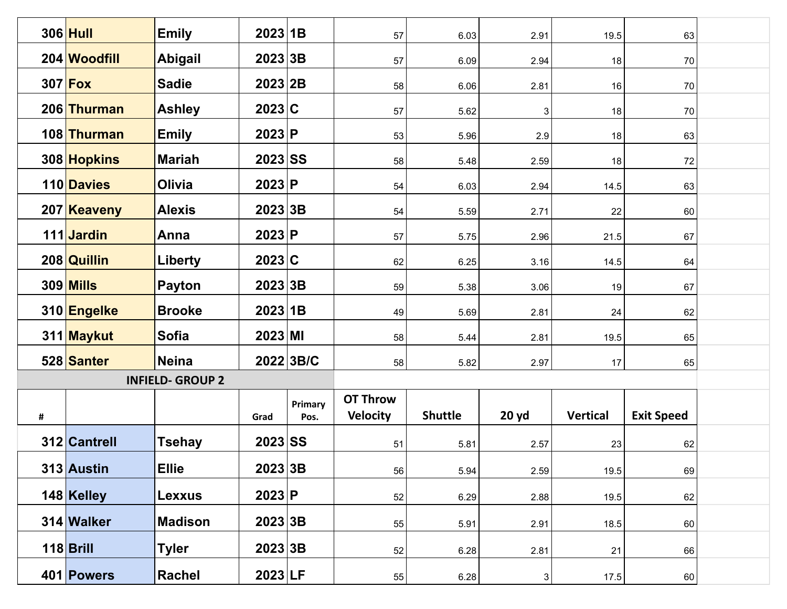|   | 306 Hull         | <b>Emily</b>            | 2023 1B   |                 | 57                                 | 6.03           | 2.91        | 19.5            | 63                |  |
|---|------------------|-------------------------|-----------|-----------------|------------------------------------|----------------|-------------|-----------------|-------------------|--|
|   | 204 Woodfill     | <b>Abigail</b>          | 2023 3B   |                 | 57                                 | 6.09           | 2.94        | 18              | 70                |  |
|   | $307$ Fox        | <b>Sadie</b>            | 2023 2B   |                 | 58                                 | 6.06           | 2.81        | 16              | 70                |  |
|   | 206 Thurman      | <b>Ashley</b>           | 2023 C    |                 | 57                                 | 5.62           | 3           | 18              | 70                |  |
|   | 108 Thurman      | <b>Emily</b>            | 2023 P    |                 | 53                                 | 5.96           | 2.9         | 18              | 63                |  |
|   | 308 Hopkins      | <b>Mariah</b>           | $2023$ SS |                 | 58                                 | 5.48           | 2.59        | 18              | 72                |  |
|   | 110 Davies       | <b>Olivia</b>           | 2023 P    |                 | 54                                 | 6.03           | 2.94        | 14.5            | 63                |  |
|   | 207 Keaveny      | <b>Alexis</b>           | 2023 3B   |                 |                                    |                | 2.71        | 22              |                   |  |
|   |                  |                         |           |                 | 54                                 | 5.59           |             |                 | 60                |  |
|   | 111 Jardin       | Anna                    | 2023 P    |                 | 57                                 | 5.75           | 2.96        | 21.5            | 67                |  |
|   | 208 Quillin      | <b>Liberty</b>          | 2023 C    |                 | 62                                 | 6.25           | 3.16        | 14.5            | 64                |  |
|   | <b>309 Mills</b> | <b>Payton</b>           | 2023 3B   |                 | 59                                 | 5.38           | 3.06        | 19              | 67                |  |
|   | 310 Engelke      | <b>Brooke</b>           | 2023 1B   |                 | 49                                 | 5.69           | 2.81        | 24              | 62                |  |
|   | 311 Maykut       | <b>Sofia</b>            | $2023$ MI |                 | 58                                 | 5.44           | 2.81        | 19.5            | 65                |  |
|   | 528 Santer       | <b>Neina</b>            |           | 2022 3B/C       | 58                                 | 5.82           | 2.97        | 17              | 65                |  |
|   |                  | <b>INFIELD- GROUP 2</b> |           |                 |                                    |                |             |                 |                   |  |
| # |                  |                         | Grad      | Primary<br>Pos. | <b>OT Throw</b><br><b>Velocity</b> | <b>Shuttle</b> | 20 yd       | <b>Vertical</b> | <b>Exit Speed</b> |  |
|   | 312 Cantrell     | <b>Tsehay</b>           | 2023 SS   |                 | 51                                 | 5.81           | 2.57        | 23              | 62                |  |
|   | 313 Austin       | <b>Ellie</b>            | 2023 3B   |                 | 56                                 | 5.94           | 2.59        | 19.5            | 69                |  |
|   | 148 Kelley       | Lexxus                  | 2023 P    |                 | 52                                 | 6.29           | 2.88        | 19.5            | 62                |  |
|   |                  |                         |           |                 |                                    |                |             |                 |                   |  |
|   | 314 Walker       | <b>Madison</b>          | 2023 3B   |                 | 55                                 | 5.91           | 2.91        | 18.5            | 60                |  |
|   | $118$ Brill      | <b>Tyler</b>            | 2023 3B   |                 | 52                                 | 6.28           | 2.81        | 21              | 66                |  |
|   | 401 Powers       | Rachel                  | 2023 LF   |                 | 55                                 | 6.28           | $\mathbf 3$ | 17.5            | 60                |  |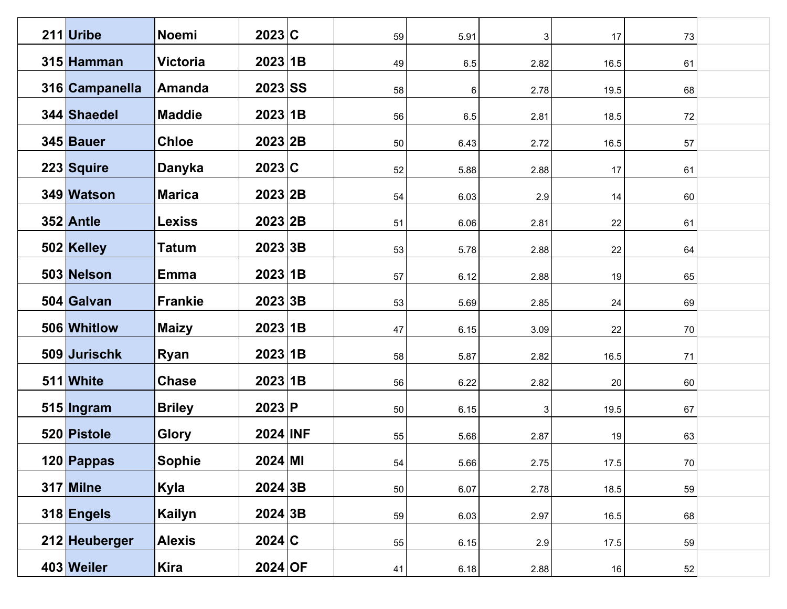| 211 Uribe      | <b>Noemi</b>    | 2023 C       | 59 | 5.91    | 3    | 17   | 73     |  |
|----------------|-----------------|--------------|----|---------|------|------|--------|--|
| 315 Hamman     | <b>Victoria</b> | 2023 1B      | 49 | $6.5\,$ | 2.82 | 16.5 | 61     |  |
| 316 Campanella | Amanda          | $2023$ SS    | 58 | 6       | 2.78 | 19.5 | 68     |  |
| 344 Shaedel    | <b>Maddie</b>   | 2023 1B      | 56 | 6.5     | 2.81 | 18.5 | 72     |  |
| 345 Bauer      | <b>Chloe</b>    | 2023 2B      | 50 | 6.43    | 2.72 | 16.5 | 57     |  |
| 223 Squire     | Danyka          | 2023 C       | 52 | 5.88    | 2.88 | 17   | 61     |  |
| 349 Watson     | <b>Marica</b>   | 2023 2B      | 54 | 6.03    | 2.9  | 14   | 60     |  |
| 352 Antle      | <b>Lexiss</b>   | 2023 2B      | 51 | 6.06    | 2.81 | 22   | 61     |  |
| 502 Kelley     | <b>Tatum</b>    | 2023 3B      | 53 | 5.78    | 2.88 | 22   | 64     |  |
| 503 Nelson     | <b>Emma</b>     | 2023 1B      | 57 | 6.12    | 2.88 | 19   | 65     |  |
| 504 Galvan     | <b>Frankie</b>  | 2023 3B      | 53 | 5.69    | 2.85 | 24   | 69     |  |
| 506 Whitlow    | <b>Maizy</b>    | 2023 1B      | 47 | 6.15    | 3.09 | 22   | 70     |  |
| 509 Jurischk   | <b>Ryan</b>     | 2023 1B      | 58 | 5.87    | 2.82 | 16.5 | 71     |  |
| 511 White      | <b>Chase</b>    | 2023 1B      | 56 | 6.22    | 2.82 | 20   | 60     |  |
| $515$  Ingram  | <b>Briley</b>   | 2023 P       | 50 | 6.15    | 3    | 19.5 | 67     |  |
| 520 Pistole    | <b>Glory</b>    | 2024 INF     | 55 | 5.68    | 2.87 | 19   | 63     |  |
| 120 Pappas     | Sophie          | $2024 \, M1$ | 54 | 5.66    | 2.75 | 17.5 | $70\,$ |  |
| 317 Milne      | Kyla            | 2024 3B      | 50 | 6.07    | 2.78 | 18.5 | 59     |  |
| 318 Engels     | Kailyn          | 2024 3B      | 59 | 6.03    | 2.97 | 16.5 | 68     |  |
| 212 Heuberger  | <b>Alexis</b>   | 2024 C       | 55 | 6.15    | 2.9  | 17.5 | 59     |  |
| 403 Weiler     | Kira            | $2024$ OF    | 41 | 6.18    | 2.88 | 16   | 52     |  |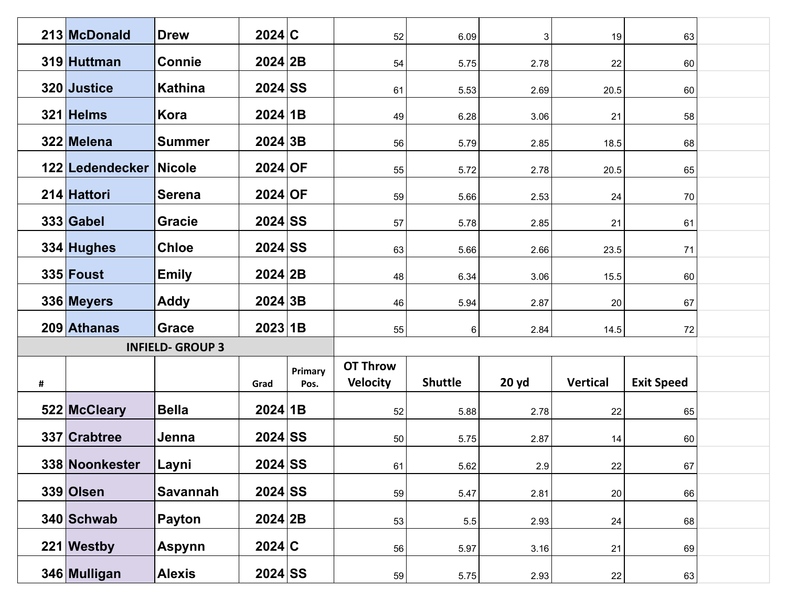|   | 213 McDonald           | <b>Drew</b>             | 2024 C    |                 | 52                                 | 6.09           | 3     | 19              | 63                |  |
|---|------------------------|-------------------------|-----------|-----------------|------------------------------------|----------------|-------|-----------------|-------------------|--|
|   | 319 Huttman            | <b>Connie</b>           | 2024 2B   |                 | 54                                 | 5.75           | 2.78  | 22              | 60                |  |
|   | 320 Justice            | <b>Kathina</b>          | $2024$ SS |                 | 61                                 | 5.53           | 2.69  | 20.5            | 60                |  |
|   | 321 Helms              | Kora                    | 2024 1B   |                 | 49                                 | 6.28           | 3.06  | 21              | 58                |  |
|   | 322 Melena             | Summer                  | 2024 3B   |                 | 56                                 | 5.79           | 2.85  | 18.5            | 68                |  |
|   | 122 Ledendecker Nicole |                         | $2024$ OF |                 | 55                                 | 5.72           | 2.78  | 20.5            | 65                |  |
|   | 214 Hattori            | <b>Serena</b>           | 2024 OF   |                 | 59                                 | 5.66           | 2.53  | 24              | 70                |  |
|   | 333 Gabel              | <b>Gracie</b>           | $2024$ SS |                 | 57                                 | 5.78           | 2.85  | 21              | 61                |  |
|   | 334 Hughes             | <b>Chloe</b>            | $2024$ SS |                 | 63                                 | 5.66           | 2.66  | 23.5            | 71                |  |
|   | 335 Foust              | <b>Emily</b>            | 2024 2B   |                 | 48                                 | 6.34           | 3.06  | 15.5            | 60                |  |
|   | 336 Meyers             | <b>Addy</b>             | 2024 3B   |                 | 46                                 | 5.94           | 2.87  | 20              | 67                |  |
|   | 209 Athanas            | Grace                   | 2023 1B   |                 | 55                                 | 6              | 2.84  | 14.5            | 72                |  |
|   |                        | <b>INFIELD- GROUP 3</b> |           |                 |                                    |                |       |                 |                   |  |
| # |                        |                         | Grad      | Primary<br>Pos. | <b>OT Throw</b><br><b>Velocity</b> | <b>Shuttle</b> | 20 yd | <b>Vertical</b> | <b>Exit Speed</b> |  |
|   |                        |                         |           |                 |                                    |                |       |                 |                   |  |
|   | 522 McCleary           | <b>Bella</b>            | 2024 1B   |                 | 52                                 | 5.88           | 2.78  | 22              | 65                |  |
|   | 337 Crabtree           | Jenna                   | $2024$ SS |                 | 50                                 | 5.75           | 2.87  | 14              | 60                |  |
|   | 338 Noonkester         | Layni                   | $2024$ SS |                 | 61                                 | 5.62           | 2.9   | 22              | 67                |  |
|   | 339 Olsen              | <b>Savannah</b>         | $2024$ SS |                 | 59                                 | 5.47           | 2.81  | 20              | 66                |  |
|   | 340 Schwab             | Payton                  | 2024 2B   |                 | 53                                 | $5.5\,$        | 2.93  | 24              | 68                |  |
|   | $221$ Westby           | <b>Aspynn</b>           | 2024 C    |                 | 56                                 | 5.97           | 3.16  | 21              | 69                |  |
|   |                        |                         |           |                 |                                    |                |       |                 |                   |  |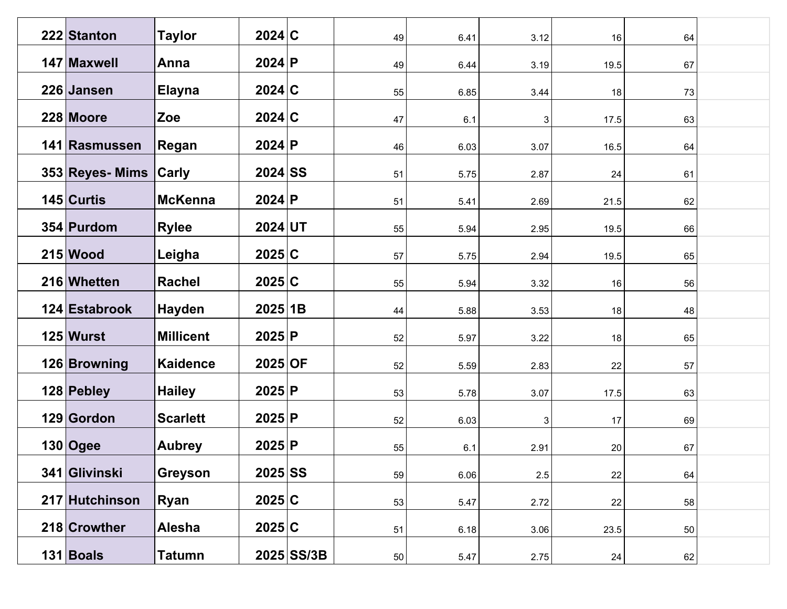| 222 Stanton           | <b>Taylor</b>    | 2024 C    |              | 49 | 6.41 | 3.12 | 16   | 64 |  |
|-----------------------|------------------|-----------|--------------|----|------|------|------|----|--|
| 147 Maxwell           | Anna             | 2024 P    |              | 49 | 6.44 | 3.19 | 19.5 | 67 |  |
| 226 Jansen            | <b>Elayna</b>    | 2024 C    |              | 55 | 6.85 | 3.44 | 18   | 73 |  |
| 228 Moore             | Zoe              | 2024 C    |              | 47 | 6.1  | 3    | 17.5 | 63 |  |
| 141 Rasmussen         | Regan            | 2024 P    |              | 46 | 6.03 | 3.07 | 16.5 | 64 |  |
| 353 Reyes- Mims Carly |                  | $2024$ SS |              | 51 | 5.75 | 2.87 | 24   | 61 |  |
| 145 Curtis            | <b>McKenna</b>   | 2024 P    |              | 51 | 5.41 | 2.69 | 21.5 | 62 |  |
| 354 Purdom            | <b>Rylee</b>     | $2024$ UT |              | 55 | 5.94 | 2.95 | 19.5 | 66 |  |
| $215$ Wood            | Leigha           | 2025 C    |              | 57 | 5.75 | 2.94 | 19.5 | 65 |  |
| 216 Whetten           | <b>Rachel</b>    | 2025 C    |              | 55 | 5.94 | 3.32 | 16   | 56 |  |
| 124 Estabrook         | <b>Hayden</b>    | 2025 1B   |              | 44 | 5.88 | 3.53 | 18   | 48 |  |
| $125$ Wurst           | <b>Millicent</b> | 2025 P    |              | 52 | 5.97 | 3.22 | 18   | 65 |  |
| 126 Browning          | <b>Kaidence</b>  | $2025$ OF |              | 52 | 5.59 | 2.83 | 22   | 57 |  |
| 128 Pebley            | <b>Hailey</b>    | 2025 P    |              | 53 | 5.78 | 3.07 | 17.5 | 63 |  |
| 129 Gordon            | <b>Scarlett</b>  | 2025 P    |              | 52 | 6.03 | 3    | 17   | 69 |  |
| $130$ Ogee            | <b>Aubrey</b>    | 2025 P    |              | 55 | 6.1  | 2.91 | 20   | 67 |  |
| 341 Glivinski         | <b>Greyson</b>   | $2025$ SS |              | 59 | 6.06 | 2.5  | 22   | 64 |  |
| 217 Hutchinson        | Ryan             | 2025 C    |              | 53 | 5.47 | 2.72 | 22   | 58 |  |
| 218 Crowther          | Alesha           | 2025 C    |              | 51 | 6.18 | 3.06 | 23.5 | 50 |  |
| $131$ Boals           | <b>Tatumn</b>    |           | $2025$ SS/3B | 50 | 5.47 | 2.75 | 24   | 62 |  |